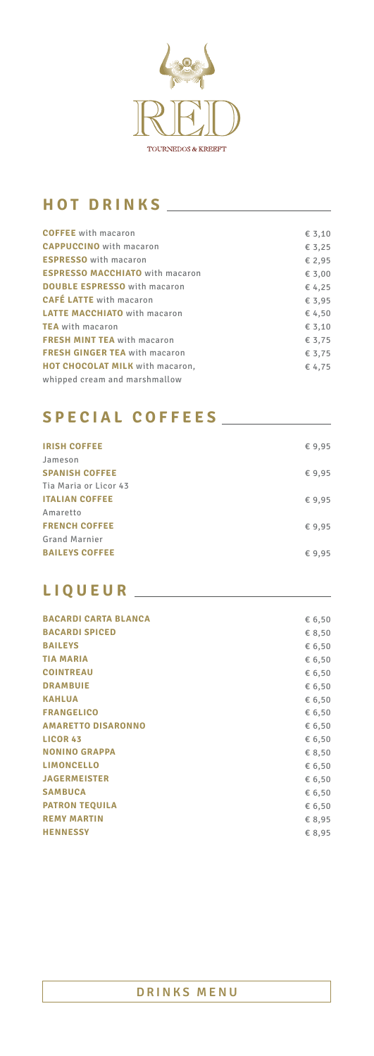

# **HOT DRINKS**

| <b>COFFEE</b> with macaron             | € 3,10 |
|----------------------------------------|--------|
| <b>CAPPUCCINO</b> with macaron         | € 3,25 |
| <b>ESPRESSO</b> with macaron           | € 2,95 |
| <b>ESPRESSO MACCHIATO</b> with macaron | € 3,00 |
| <b>DOUBLE ESPRESSO</b> with macaron    | € 4,25 |
| <b>CAFÉ LATTE</b> with macaron         | € 3,95 |
| <b>LATTE MACCHIATO</b> with macaron    | € 4,50 |
| <b>TEA</b> with macaron                | € 3,10 |
| <b>FRESH MINT TEA</b> with macaron     | € 3,75 |
| <b>FRESH GINGER TEA with macaron</b>   | € 3,75 |
| HOT CHOCOLAT MILK with macaron,        | € 4,75 |
| whipped cream and marshmallow          |        |
|                                        |        |

| <b>IRISH COFFEE</b>   | €9,95  |
|-----------------------|--------|
| Jameson               |        |
| <b>SPANISH COFFEE</b> | € 9,95 |
| Tia Maria or Licor 43 |        |
| <b>ITALIAN COFFEE</b> | €9,95  |
| Amaretto              |        |
| <b>FRENCH COFFEE</b>  | €9,95  |
| <b>Grand Marnier</b>  |        |
| <b>BAILEYS COFFEE</b> | €9,95  |
|                       |        |

| <b>BACARDI CARTA BLANCA</b> | € 6,50 |
|-----------------------------|--------|
| <b>BACARDI SPICED</b>       | € 8,50 |
| <b>BAILEYS</b>              | € 6,50 |
| <b>TIA MARIA</b>            | € 6,50 |
| <b>COINTREAU</b>            | € 6,50 |
| <b>DRAMBUIE</b>             | € 6,50 |
| <b>KAHLUA</b>               | € 6,50 |
| <b>FRANGELICO</b>           | € 6,50 |
| <b>AMARETTO DISARONNO</b>   | € 6,50 |
| <b>LICOR 43</b>             | € 6,50 |
| <b>NONINO GRAPPA</b>        | € 8,50 |
| <b>LIMONCELLO</b>           | € 6,50 |
| <b>JAGERMEISTER</b>         | € 6,50 |
| <b>SAMBUCA</b>              | € 6,50 |
| <b>PATRON TEQUILA</b>       | € 6,50 |
| <b>REMY MARTIN</b>          | € 8,95 |
| <b>HENNESSY</b>             | € 8,95 |
|                             |        |

# **SPECIAL COFFEES**

## **LIQUEUR**

#### **DRINKS MENU**